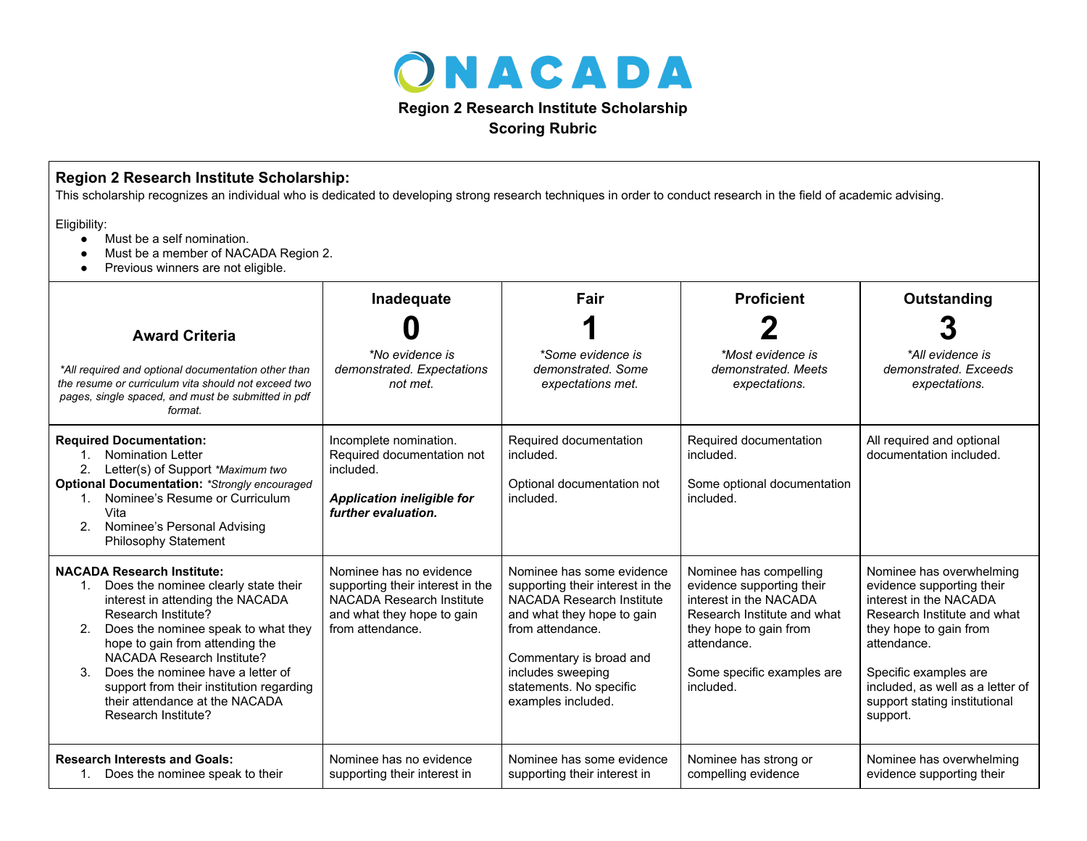

**Scoring Rubric**

| Region 2 Research Institute Scholarship:<br>This scholarship recognizes an individual who is dedicated to developing strong research techniques in order to conduct research in the field of academic advising.<br>Eligibility:<br>Must be a self nomination.<br>$\bullet$<br>Must be a member of NACADA Region 2.<br>$\bullet$<br>Previous winners are not eligible.<br>$\bullet$                       |                                                                                                                                            |                                                                                                                                                                                                                                               |                                                                                                                                                                                                  |                                                                                                                                                                                                                                                                   |  |  |  |
|----------------------------------------------------------------------------------------------------------------------------------------------------------------------------------------------------------------------------------------------------------------------------------------------------------------------------------------------------------------------------------------------------------|--------------------------------------------------------------------------------------------------------------------------------------------|-----------------------------------------------------------------------------------------------------------------------------------------------------------------------------------------------------------------------------------------------|--------------------------------------------------------------------------------------------------------------------------------------------------------------------------------------------------|-------------------------------------------------------------------------------------------------------------------------------------------------------------------------------------------------------------------------------------------------------------------|--|--|--|
|                                                                                                                                                                                                                                                                                                                                                                                                          |                                                                                                                                            |                                                                                                                                                                                                                                               |                                                                                                                                                                                                  |                                                                                                                                                                                                                                                                   |  |  |  |
| <b>Award Criteria</b>                                                                                                                                                                                                                                                                                                                                                                                    |                                                                                                                                            |                                                                                                                                                                                                                                               |                                                                                                                                                                                                  |                                                                                                                                                                                                                                                                   |  |  |  |
| *All required and optional documentation other than<br>the resume or curriculum vita should not exceed two<br>pages, single spaced, and must be submitted in pdf<br>format.                                                                                                                                                                                                                              | *No evidence is<br>demonstrated. Expectations<br>not met.                                                                                  | *Some evidence is<br>demonstrated. Some<br>expectations met.                                                                                                                                                                                  | *Most evidence is<br>demonstrated. Meets<br>expectations.                                                                                                                                        | *All evidence is<br>demonstrated. Exceeds<br>expectations.                                                                                                                                                                                                        |  |  |  |
| <b>Required Documentation:</b><br><b>Nomination Letter</b><br>$1_{\ldots}$<br>2.<br>Letter(s) of Support *Maximum two<br><b>Optional Documentation: *Strongly encouraged</b><br>Nominee's Resume or Curriculum<br>$1_{-}$<br>Vita<br>Nominee's Personal Advising<br>2.<br>Philosophy Statement                                                                                                           | Incomplete nomination.<br>Required documentation not<br>included.<br><b>Application ineligible for</b><br>further evaluation.              | Required documentation<br>included.<br>Optional documentation not<br>included.                                                                                                                                                                | Required documentation<br>included.<br>Some optional documentation<br>included.                                                                                                                  | All required and optional<br>documentation included.                                                                                                                                                                                                              |  |  |  |
| <b>NACADA Research Institute:</b><br>Does the nominee clearly state their<br>1.<br>interest in attending the NACADA<br>Research Institute?<br>Does the nominee speak to what they<br>2.<br>hope to gain from attending the<br>NACADA Research Institute?<br>Does the nominee have a letter of<br>3.<br>support from their institution regarding<br>their attendance at the NACADA<br>Research Institute? | Nominee has no evidence<br>supporting their interest in the<br>NACADA Research Institute<br>and what they hope to gain<br>from attendance. | Nominee has some evidence<br>supporting their interest in the<br>NACADA Research Institute<br>and what they hope to gain<br>from attendance.<br>Commentary is broad and<br>includes sweeping<br>statements. No specific<br>examples included. | Nominee has compelling<br>evidence supporting their<br>interest in the NACADA<br>Research Institute and what<br>they hope to gain from<br>attendance.<br>Some specific examples are<br>included. | Nominee has overwhelming<br>evidence supporting their<br>interest in the NACADA<br>Research Institute and what<br>they hope to gain from<br>attendance.<br>Specific examples are<br>included, as well as a letter of<br>support stating institutional<br>support. |  |  |  |
| <b>Research Interests and Goals:</b><br>1. Does the nominee speak to their                                                                                                                                                                                                                                                                                                                               | Nominee has no evidence<br>supporting their interest in                                                                                    | Nominee has some evidence<br>supporting their interest in                                                                                                                                                                                     | Nominee has strong or<br>compelling evidence                                                                                                                                                     | Nominee has overwhelming<br>evidence supporting their                                                                                                                                                                                                             |  |  |  |